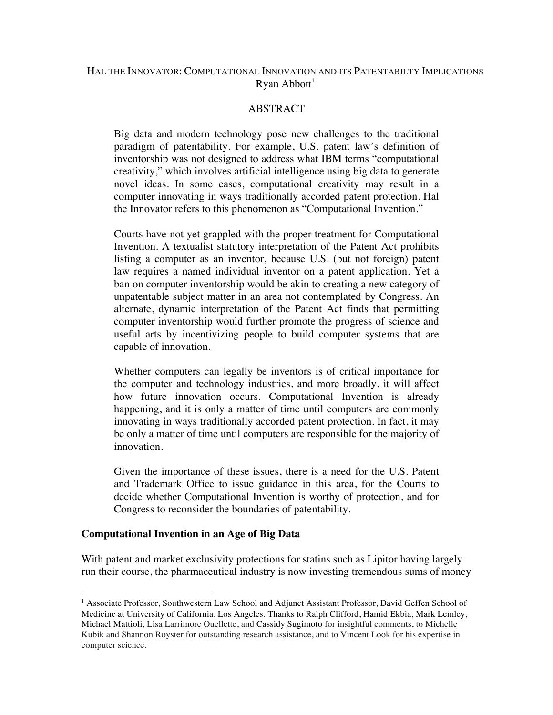## HAL THE INNOVATOR: COMPUTATIONAL INNOVATION AND ITS PATENTABILTY IMPLICATIONS  $R$ yan Abbott<sup>1</sup>

### ABSTRACT

Big data and modern technology pose new challenges to the traditional paradigm of patentability. For example, U.S. patent law's definition of inventorship was not designed to address what IBM terms "computational creativity," which involves artificial intelligence using big data to generate novel ideas. In some cases, computational creativity may result in a computer innovating in ways traditionally accorded patent protection. Hal the Innovator refers to this phenomenon as "Computational Invention."

Courts have not yet grappled with the proper treatment for Computational Invention. A textualist statutory interpretation of the Patent Act prohibits listing a computer as an inventor, because U.S. (but not foreign) patent law requires a named individual inventor on a patent application. Yet a ban on computer inventorship would be akin to creating a new category of unpatentable subject matter in an area not contemplated by Congress. An alternate, dynamic interpretation of the Patent Act finds that permitting computer inventorship would further promote the progress of science and useful arts by incentivizing people to build computer systems that are capable of innovation.

Whether computers can legally be inventors is of critical importance for the computer and technology industries, and more broadly, it will affect how future innovation occurs. Computational Invention is already happening, and it is only a matter of time until computers are commonly innovating in ways traditionally accorded patent protection. In fact, it may be only a matter of time until computers are responsible for the majority of innovation.

Given the importance of these issues, there is a need for the U.S. Patent and Trademark Office to issue guidance in this area, for the Courts to decide whether Computational Invention is worthy of protection, and for Congress to reconsider the boundaries of patentability.

#### **Computational Invention in an Age of Big Data**

!!!!!!!!!!!!!!!!!!!!!!!!!!!!!!!!!!!!!!!!!!!!!!!!!!!!!!!!

With patent and market exclusivity protections for statins such as Lipitor having largely run their course, the pharmaceutical industry is now investing tremendous sums of money

<sup>&</sup>lt;sup>1</sup> Associate Professor, Southwestern Law School and Adjunct Assistant Professor, David Geffen School of Medicine at University of California, Los Angeles. Thanks to Ralph Clifford, Hamid Ekbia, Mark Lemley, Michael Mattioli, Lisa Larrimore Ouellette, and Cassidy Sugimoto for insightful comments, to Michelle Kubik and Shannon Royster for outstanding research assistance, and to Vincent Look for his expertise in computer science.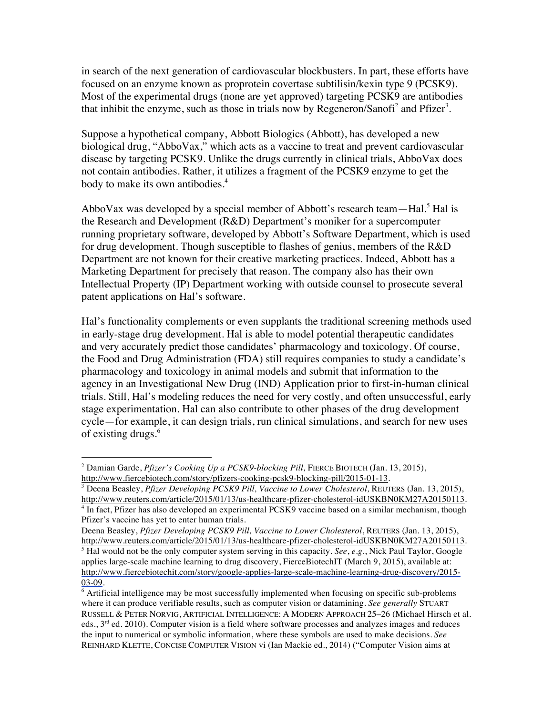in search of the next generation of cardiovascular blockbusters. In part, these efforts have focused on an enzyme known as proprotein covertase subtilisin/kexin type 9 (PCSK9). Most of the experimental drugs (none are yet approved) targeting PCSK9 are antibodies that inhibit the enzyme, such as those in trials now by Regeneron/Sanofi<sup>2</sup> and Pfizer<sup>3</sup>.

Suppose a hypothetical company, Abbott Biologics (Abbott), has developed a new biological drug, "AbboVax," which acts as a vaccine to treat and prevent cardiovascular disease by targeting PCSK9. Unlike the drugs currently in clinical trials, AbboVax does not contain antibodies. Rather, it utilizes a fragment of the PCSK9 enzyme to get the body to make its own antibodies.<sup>4</sup>

AbboVax was developed by a special member of Abbott's research team—Hal.<sup>5</sup> Hal is the Research and Development (R&D) Department's moniker for a supercomputer running proprietary software, developed by Abbott's Software Department, which is used for drug development. Though susceptible to flashes of genius, members of the R&D Department are not known for their creative marketing practices. Indeed, Abbott has a Marketing Department for precisely that reason. The company also has their own Intellectual Property (IP) Department working with outside counsel to prosecute several patent applications on Hal's software.

Hal's functionality complements or even supplants the traditional screening methods used in early-stage drug development. Hal is able to model potential therapeutic candidates and very accurately predict those candidates' pharmacology and toxicology. Of course, the Food and Drug Administration (FDA) still requires companies to study a candidate's pharmacology and toxicology in animal models and submit that information to the agency in an Investigational New Drug (IND) Application prior to first-in-human clinical trials. Still, Hal's modeling reduces the need for very costly, and often unsuccessful, early stage experimentation. Hal can also contribute to other phases of the drug development cycle—for example, it can design trials, run clinical simulations, and search for new uses of existing drugs.<sup>6</sup>

<sup>!!!!!!!!!!!!!!!!!!!!!!!!!!!!!!!!!!!!!!!!!!!!!!!!!!!!!!!</sup> <sup>2</sup> Damian Garde, *Pfizer's Cooking Up a PCSK9-blocking Pill*, FIERCE BIOTECH (Jan. 13, 2015), http://www.fiercebiotech.com/story/pfizers-cooking-pcsk9-blocking-pill/2015-01-13.

<sup>&</sup>lt;sup>3</sup> Deena Beasley, *Pfizer Developing PCSK9 Pill, Vaccine to Lower Cholesterol*, REUTERS (Jan. 13, 2015), http://www.reuters.com/article/2015/01/13/us-healthcare-pfizer-cholesterol-idUSKBN0KM27A20150113.

 $4$  In fact, Pfizer has also developed an experimental PCSK9 vaccine based on a similar mechanism, though Pfizer's vaccine has yet to enter human trials.

Deena Beasley, *Pfizer Developing PCSK9 Pill, Vaccine to Lower Cholesterol*, REUTERS (Jan. 13, 2015), http://www.reuters.com/article/2015/01/13/us-healthcare-pfizer-cholesterol-idUSKBN0KM27A20150113.

<sup>5</sup> Hal would not be the only computer system serving in this capacity. *See*, *e.g.*, Nick Paul Taylor, Google applies large-scale machine learning to drug discovery, FierceBiotechIT (March 9, 2015), available at: http://www.fiercebiotechit.com/story/google-applies-large-scale-machine-learning-drug-discovery/2015- 03-09.

<sup>6</sup> Artificial intelligence may be most successfully implemented when focusing on specific sub-problems where it can produce verifiable results, such as computer vision or datamining. *See generally* STUART RUSSELL & PETER NORVIG, ARTIFICIAL INTELLIGENCE: A MODERN APPROACH 25–26 (Michael Hirsch et al. eds.,  $3<sup>rd</sup>$  ed. 2010). Computer vision is a field where software processes and analyzes images and reduces the input to numerical or symbolic information, where these symbols are used to make decisions. *See* REINHARD KLETTE, CONCISE COMPUTER VISION vi (Ian Mackie ed., 2014) ("Computer Vision aims at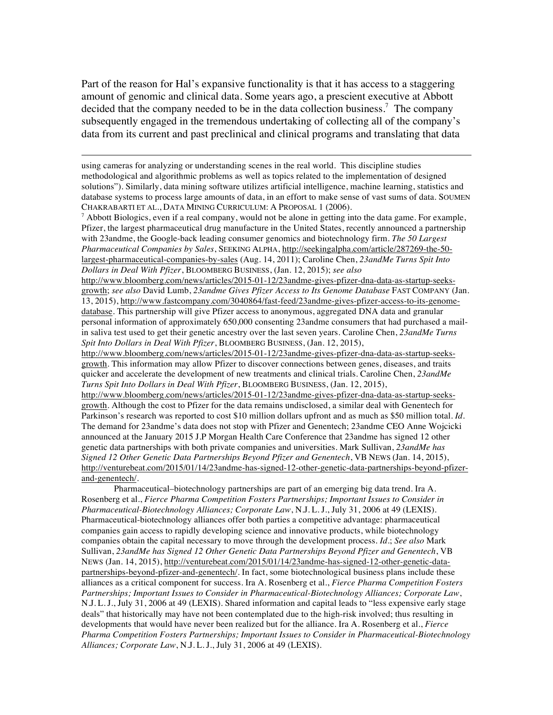Part of the reason for Hal's expansive functionality is that it has access to a staggering amount of genomic and clinical data. Some years ago, a prescient executive at Abbott decided that the company needed to be in the data collection business.<sup>7</sup> The company subsequently engaged in the tremendous undertaking of collecting all of the company's data from its current and past preclinical and clinical programs and translating that data

using cameras for analyzing or understanding scenes in the real world. This discipline studies methodological and algorithmic problems as well as topics related to the implementation of designed solutions"). Similarly, data mining software utilizes artificial intelligence, machine learning, statistics and database systems to process large amounts of data, in an effort to make sense of vast sums of data. SOUMEN CHAKRABARTI ET AL., DATA MINING CURRICULUM: A PROPOSAL 1 (2006).

!!!!!!!!!!!!!!!!!!!!!!!!!!!!!!!!!!!!!!!!!!!!!!!!!!!!!!!!!!!!!!!!!!!!!!!!!!!!!!!!!!!!!!!!!!!!!!!!!!!!!!!!!!!!!!!!!!!!!!!!!!!!!!!!!!!!!!!!!!!!!!!!!!!!!!!!!!!!!!!!!!!!

 $^7$  Abbott Biologics, even if a real company, would not be alone in getting into the data game. For example, Pfizer, the largest pharmaceutical drug manufacture in the United States, recently announced a partnership with 23andme, the Google-back leading consumer genomics and biotechnology firm. *The 50 Largest Pharmaceutical Companies by Sales*, SEEKING ALPHA, http://seekingalpha.com/article/287269-the-50 largest-pharmaceutical-companies-by-sales (Aug. 14, 2011); Caroline Chen, *23andMe Turns Spit Into Dollars in Deal With Pfizer*, BLOOMBERG BUSINESS, (Jan. 12, 2015); *see also* 

http://www.bloomberg.com/news/articles/2015-01-12/23andme-gives-pfizer-dna-data-as-startup-seeksgrowth; *see also* David Lumb, *23andme Gives Pfizer Access to Its Genome Database* FAST COMPANY (Jan. 13, 2015), http://www.fastcompany.com/3040864/fast-feed/23andme-gives-pfizer-access-to-its-genomedatabase. This partnership will give Pfizer access to anonymous, aggregated DNA data and granular personal information of approximately 650,000 consenting 23andme consumers that had purchased a mailin saliva test used to get their genetic ancestry over the last seven years. Caroline Chen, *23andMe Turns Spit Into Dollars in Deal With Pfizer*, BLOOMBERG BUSINESS, (Jan. 12, 2015),

http://www.bloomberg.com/news/articles/2015-01-12/23andme-gives-pfizer-dna-data-as-startup-seeksgrowth. This information may allow Pfizer to discover connections between genes, diseases, and traits quicker and accelerate the development of new treatments and clinical trials. Caroline Chen, *23andMe Turns Spit Into Dollars in Deal With Pfizer*, BLOOMBERG BUSINESS, (Jan. 12, 2015),

http://www.bloomberg.com/news/articles/2015-01-12/23andme-gives-pfizer-dna-data-as-startup-seeksgrowth. Although the cost to Pfizer for the data remains undisclosed, a similar deal with Genentech for Parkinson's research was reported to cost \$10 million dollars upfront and as much as \$50 million total. *Id*. The demand for 23andme's data does not stop with Pfizer and Genentech; 23andme CEO Anne Wojcicki announced at the January 2015 J.P Morgan Health Care Conference that 23andme has signed 12 other genetic data partnerships with both private companies and universities. Mark Sullivan, *23andMe has Signed 12 Other Genetic Data Partnerships Beyond Pfizer and Genentech*, VB NEWS (Jan. 14, 2015), http://venturebeat.com/2015/01/14/23andme-has-signed-12-other-genetic-data-partnerships-beyond-pfizerand-genentech/.

Pharmaceutical–biotechnology partnerships are part of an emerging big data trend. Ira A. Rosenberg et al., *Fierce Pharma Competition Fosters Partnerships; Important Issues to Consider in Pharmaceutical-Biotechnology Alliances; Corporate Law*, N.J. L. J., July 31, 2006 at 49 (LEXIS). Pharmaceutical-biotechnology alliances offer both parties a competitive advantage: pharmaceutical companies gain access to rapidly developing science and innovative products, while biotechnology companies obtain the capital necessary to move through the development process. *Id*.; *See also* Mark Sullivan, *23andMe has Signed 12 Other Genetic Data Partnerships Beyond Pfizer and Genentech*, VB NEWS (Jan. 14, 2015), http://venturebeat.com/2015/01/14/23andme-has-signed-12-other-genetic-datapartnerships-beyond-pfizer-and-genentech/. In fact, some biotechnological business plans include these alliances as a critical component for success. Ira A. Rosenberg et al., *Fierce Pharma Competition Fosters Partnerships; Important Issues to Consider in Pharmaceutical-Biotechnology Alliances; Corporate Law*, N.J. L. J., July 31, 2006 at 49 (LEXIS). Shared information and capital leads to "less expensive early stage deals" that historically may have not been contemplated due to the high-risk involved; thus resulting in developments that would have never been realized but for the alliance. Ira A. Rosenberg et al., *Fierce Pharma Competition Fosters Partnerships; Important Issues to Consider in Pharmaceutical-Biotechnology Alliances; Corporate Law*, N.J. L. J., July 31, 2006 at 49 (LEXIS).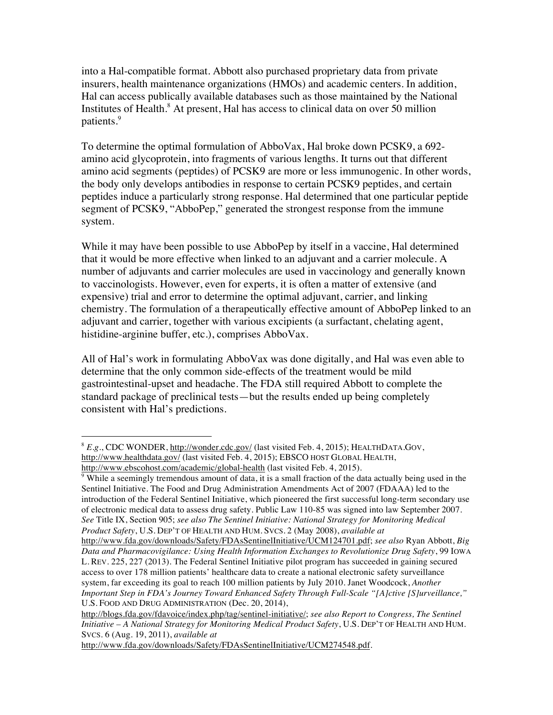into a Hal-compatible format. Abbott also purchased proprietary data from private insurers, health maintenance organizations (HMOs) and academic centers. In addition, Hal can access publically available databases such as those maintained by the National Institutes of Health. $8$  At present, Hal has access to clinical data on over 50 million patients.<sup>9</sup>

To determine the optimal formulation of AbboVax, Hal broke down PCSK9, a 692 amino acid glycoprotein, into fragments of various lengths. It turns out that different amino acid segments (peptides) of PCSK9 are more or less immunogenic. In other words, the body only develops antibodies in response to certain PCSK9 peptides, and certain peptides induce a particularly strong response. Hal determined that one particular peptide segment of PCSK9, "AbboPep," generated the strongest response from the immune system.

While it may have been possible to use AbboPep by itself in a vaccine, Hal determined that it would be more effective when linked to an adjuvant and a carrier molecule. A number of adjuvants and carrier molecules are used in vaccinology and generally known to vaccinologists. However, even for experts, it is often a matter of extensive (and expensive) trial and error to determine the optimal adjuvant, carrier, and linking chemistry. The formulation of a therapeutically effective amount of AbboPep linked to an adjuvant and carrier, together with various excipients (a surfactant, chelating agent, histidine-arginine buffer, etc.), comprises AbboVax.

All of Hal's work in formulating AbboVax was done digitally, and Hal was even able to determine that the only common side-effects of the treatment would be mild gastrointestinal-upset and headache. The FDA still required Abbott to complete the standard package of preclinical tests—but the results ended up being completely consistent with Hal's predictions.

!!!!!!!!!!!!!!!!!!!!!!!!!!!!!!!!!!!!!!!!!!!!!!!!!!!!!!!

 $\frac{9}{9}$  While a seemingly tremendous amount of data, it is a small fraction of the data actually being used in the Sentinel Initiative. The Food and Drug Administration Amendments Act of 2007 (FDAAA) led to the introduction of the Federal Sentinel Initiative, which pioneered the first successful long-term secondary use of electronic medical data to assess drug safety. Public Law 110-85 was signed into law September 2007. *See* Title IX, Section 905; *see also The Sentinel Initiative: National Strategy for Monitoring Medical Product Safety*, U.S. DEP'T OF HEALTH AND HUM. SVCS. 2 (May 2008), *available at*

http://www.fda.gov/downloads/Safety/FDAsSentinelInitiative/UCM274548.pdf.

<sup>&</sup>lt;sup>8</sup> E.g., CDC WONDER, http://wonder.cdc.gov/ (last visited Feb. 4, 2015); HEALTHDATA.GOV, http://www.healthdata.gov/ (last visited Feb. 4, 2015); EBSCO HOST GLOBAL HEALTH, http://www.ebscohost.com/academic/global-health (last visited Feb. 4, 2015).

http://www.fda.gov/downloads/Safety/FDAsSentinelInitiative/UCM124701.pdf; *see also* Ryan Abbott, *Big Data and Pharmacovigilance: Using Health Information Exchanges to Revolutionize Drug Safety*, 99 IOWA L. REV. 225, 227 (2013). The Federal Sentinel Initiative pilot program has succeeded in gaining secured access to over 178 million patients' healthcare data to create a national electronic safety surveillance system, far exceeding its goal to reach 100 million patients by July 2010. Janet Woodcock, *Another Important Step in FDA's Journey Toward Enhanced Safety Through Full-Scale "[A]ctive [S]urveillance,"* U.S. FOOD AND DRUG ADMINISTRATION (Dec. 20, 2014),

http://blogs.fda.gov/fdavoice/index.php/tag/sentinel-initiative/; *see also Report to Congress, The Sentinel Initiative – A National Strategy for Monitoring Medical Product Safety*, U.S. DEP'T OF HEALTH AND HUM. SVCS. 6 (Aug. 19, 2011), *available at*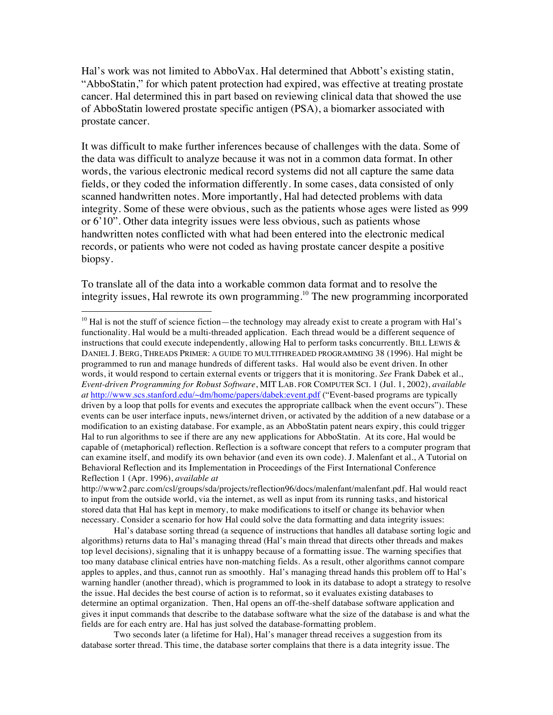Hal's work was not limited to AbboVax. Hal determined that Abbott's existing statin, "AbboStatin," for which patent protection had expired, was effective at treating prostate cancer. Hal determined this in part based on reviewing clinical data that showed the use of AbboStatin lowered prostate specific antigen (PSA), a biomarker associated with prostate cancer.

It was difficult to make further inferences because of challenges with the data. Some of the data was difficult to analyze because it was not in a common data format. In other words, the various electronic medical record systems did not all capture the same data fields, or they coded the information differently. In some cases, data consisted of only scanned handwritten notes. More importantly, Hal had detected problems with data integrity. Some of these were obvious, such as the patients whose ages were listed as 999 or 6'10". Other data integrity issues were less obvious, such as patients whose handwritten notes conflicted with what had been entered into the electronic medical records, or patients who were not coded as having prostate cancer despite a positive biopsy.

To translate all of the data into a workable common data format and to resolve the integrity issues, Hal rewrote its own programming.10 The new programming incorporated

!!!!!!!!!!!!!!!!!!!!!!!!!!!!!!!!!!!!!!!!!!!!!!!!!!!!!!!

Hal's database sorting thread (a sequence of instructions that handles all database sorting logic and algorithms) returns data to Hal's managing thread (Hal's main thread that directs other threads and makes top level decisions), signaling that it is unhappy because of a formatting issue. The warning specifies that too many database clinical entries have non-matching fields. As a result, other algorithms cannot compare apples to apples, and thus, cannot run as smoothly. Hal's managing thread hands this problem off to Hal's warning handler (another thread), which is programmed to look in its database to adopt a strategy to resolve the issue. Hal decides the best course of action is to reformat, so it evaluates existing databases to determine an optimal organization. Then, Hal opens an off-the-shelf database software application and gives it input commands that describe to the database software what the size of the database is and what the fields are for each entry are. Hal has just solved the database-formatting problem.

Two seconds later (a lifetime for Hal), Hal's manager thread receives a suggestion from its database sorter thread. This time, the database sorter complains that there is a data integrity issue. The

<sup>&</sup>lt;sup>10</sup> Hal is not the stuff of science fiction—the technology may already exist to create a program with Hal's functionality. Hal would be a multi-threaded application. Each thread would be a different sequence of instructions that could execute independently, allowing Hal to perform tasks concurrently. BILL LEWIS & DANIEL J. BERG, THREADS PRIMER: A GUIDE TO MULTITHREADED PROGRAMMING 38 (1996). Hal might be programmed to run and manage hundreds of different tasks. Hal would also be event driven. In other words, it would respond to certain external events or triggers that it is monitoring. *See* Frank Dabek et al., *Event-driven Programming for Robust Software*, MIT LAB. FOR COMPUTER SCI. 1 (Jul. 1, 2002), *available at* http://www.scs.stanford.edu/~dm/home/papers/dabek:event.pdf ("Event-based programs are typically driven by a loop that polls for events and executes the appropriate callback when the event occurs"). These events can be user interface inputs, news/internet driven, or activated by the addition of a new database or a modification to an existing database. For example, as an AbboStatin patent nears expiry, this could trigger Hal to run algorithms to see if there are any new applications for AbboStatin. At its core, Hal would be capable of (metaphorical) reflection. Reflection is a software concept that refers to a computer program that can examine itself, and modify its own behavior (and even its own code). J. Malenfant et al., A Tutorial on Behavioral Reflection and its Implementation in Proceedings of the First International Conference Reflection 1 (Apr. 1996), *available at*

http://www2.parc.com/csl/groups/sda/projects/reflection96/docs/malenfant/malenfant.pdf. Hal would react to input from the outside world, via the internet, as well as input from its running tasks, and historical stored data that Hal has kept in memory, to make modifications to itself or change its behavior when necessary. Consider a scenario for how Hal could solve the data formatting and data integrity issues: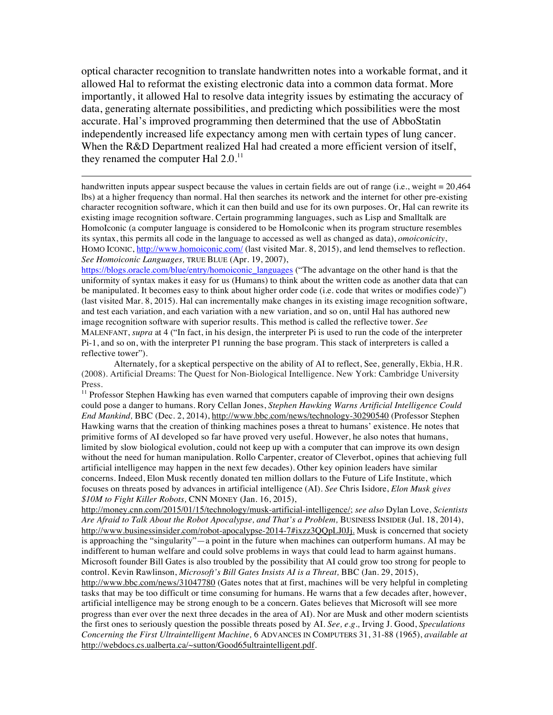optical character recognition to translate handwritten notes into a workable format, and it allowed Hal to reformat the existing electronic data into a common data format. More importantly, it allowed Hal to resolve data integrity issues by estimating the accuracy of data, generating alternate possibilities, and predicting which possibilities were the most accurate. Hal's improved programming then determined that the use of AbboStatin independently increased life expectancy among men with certain types of lung cancer. When the R&D Department realized Hal had created a more efficient version of itself, they renamed the computer Hal 2.0.<sup>11</sup>

handwritten inputs appear suspect because the values in certain fields are out of range (i.e., weight = 20,464 lbs) at a higher frequency than normal. Hal then searches its network and the internet for other pre-existing character recognition software, which it can then build and use for its own purposes. Or, Hal can rewrite its existing image recognition software. Certain programming languages, such as Lisp and Smalltalk are HomoIconic (a computer language is considered to be HomoIconic when its program structure resembles its syntax, this permits all code in the language to accessed as well as changed as data), *omoiconicity*, HOMO ICONIC, http://www.homoiconic.com/ (last visited Mar. 8, 2015), and lend themselves to reflection. *See Homoiconic Languages,* TRUE BLUE (Apr. 19, 2007),

!!!!!!!!!!!!!!!!!!!!!!!!!!!!!!!!!!!!!!!!!!!!!!!!!!!!!!!!!!!!!!!!!!!!!!!!!!!!!!!!!!!!!!!!!!!!!!!!!!!!!!!!!!!!!!!!!!!!!!!!!!!!!!!!!!!!!!!!!!!!!!!!!!!!!!!!!!!!!!!!!!!!

https://blogs.oracle.com/blue/entry/homoiconic\_languages ("The advantage on the other hand is that the uniformity of syntax makes it easy for us (Humans) to think about the written code as another data that can be manipulated. It becomes easy to think about higher order code (i.e. code that writes or modifies code)") (last visited Mar. 8, 2015). Hal can incrementally make changes in its existing image recognition software, and test each variation, and each variation with a new variation, and so on, until Hal has authored new image recognition software with superior results. This method is called the reflective tower. *See* MALENFANT, *supra* at 4 ("In fact, in his design, the interpreter Pi is used to run the code of the interpreter Pi-1, and so on, with the interpreter P1 running the base program. This stack of interpreters is called a reflective tower").

http://money.cnn.com/2015/01/15/technology/musk-artificial-intelligence/; *see also* Dylan Love, *Scientists Are Afraid to Talk About the Robot Apocalypse, and That's a Problem,* BUSINESS INSIDER (Jul. 18, 2014), http://www.businessinsider.com/robot-apocalypse-2014-7#ixzz3QQpLJ0Jj. Musk is concerned that society is approaching the "singularity"—a point in the future when machines can outperform humans. AI may be indifferent to human welfare and could solve problems in ways that could lead to harm against humans. Microsoft founder Bill Gates is also troubled by the possibility that AI could grow too strong for people to control. Kevin Rawlinson, *Microsoft's Bill Gates Insists AI is a Threat,* BBC (Jan. 29, 2015),

http://www.bbc.com/news/31047780 (Gates notes that at first, machines will be very helpful in completing tasks that may be too difficult or time consuming for humans. He warns that a few decades after, however, artificial intelligence may be strong enough to be a concern. Gates believes that Microsoft will see more progress than ever over the next three decades in the area of AI). Nor are Musk and other modern scientists the first ones to seriously question the possible threats posed by AI. *See, e.g.,* Irving J. Good, *Speculations Concerning the First Ultraintelligent Machine,* 6 ADVANCES IN COMPUTERS 31, 31-88 (1965), *available at* http://webdocs.cs.ualberta.ca/~sutton/Good65ultraintelligent.pdf.

Alternately, for a skeptical perspective on the ability of AI to reflect, See, generally, Ekbia, H.R. (2008). Artificial Dreams: The Quest for Non-Biological Intelligence. New York: Cambridge University Press.

<sup>&</sup>lt;sup>11</sup> Professor Stephen Hawking has even warned that computers capable of improving their own designs could pose a danger to humans. Rory Cellan Jones, *Stephen Hawking Warns Artificial Intelligence Could End Mankind,* BBC (Dec. 2, 2014), http://www.bbc.com/news/technology-30290540 (Professor Stephen Hawking warns that the creation of thinking machines poses a threat to humans' existence. He notes that primitive forms of AI developed so far have proved very useful. However, he also notes that humans, limited by slow biological evolution, could not keep up with a computer that can improve its own design without the need for human manipulation. Rollo Carpenter, creator of Cleverbot, opines that achieving full artificial intelligence may happen in the next few decades). Other key opinion leaders have similar concerns. Indeed, Elon Musk recently donated ten million dollars to the Future of Life Institute, which focuses on threats posed by advances in artificial intelligence (AI). *See* Chris Isidore, *Elon Musk gives \$10M to Fight Killer Robots,* CNN MONEY (Jan. 16, 2015),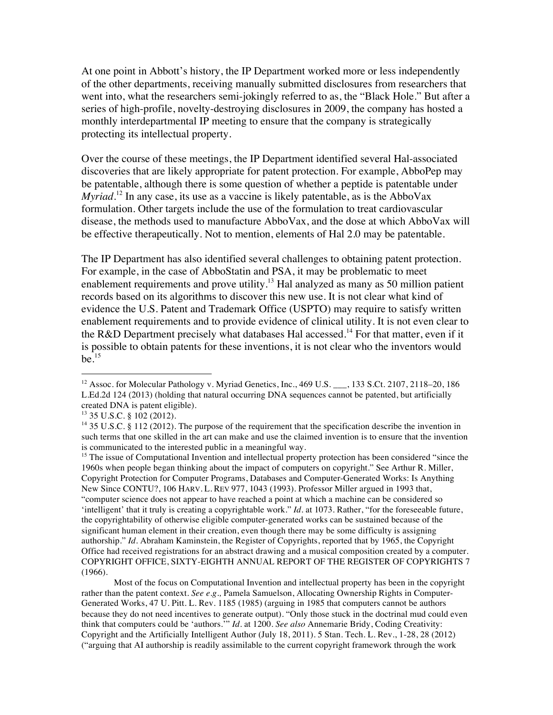At one point in Abbott's history, the IP Department worked more or less independently of the other departments, receiving manually submitted disclosures from researchers that went into, what the researchers semi-jokingly referred to as, the "Black Hole." But after a series of high-profile, novelty-destroying disclosures in 2009, the company has hosted a monthly interdepartmental IP meeting to ensure that the company is strategically protecting its intellectual property.

Over the course of these meetings, the IP Department identified several Hal-associated discoveries that are likely appropriate for patent protection. For example, AbboPep may be patentable, although there is some question of whether a peptide is patentable under *Myriad*.<sup>12</sup> In any case, its use as a vaccine is likely patentable, as is the AbboVax formulation. Other targets include the use of the formulation to treat cardiovascular disease, the methods used to manufacture AbboVax, and the dose at which AbboVax will be effective therapeutically. Not to mention, elements of Hal 2.0 may be patentable.

The IP Department has also identified several challenges to obtaining patent protection. For example, in the case of AbboStatin and PSA, it may be problematic to meet enablement requirements and prove utility.<sup>13</sup> Hal analyzed as many as 50 million patient records based on its algorithms to discover this new use. It is not clear what kind of evidence the U.S. Patent and Trademark Office (USPTO) may require to satisfy written enablement requirements and to provide evidence of clinical utility. It is not even clear to the R&D Department precisely what databases Hal accessed.<sup>14</sup> For that matter, even if it is possible to obtain patents for these inventions, it is not clear who the inventors would  $be.<sup>15</sup>$ 

!!!!!!!!!!!!!!!!!!!!!!!!!!!!!!!!!!!!!!!!!!!!!!!!!!!!!!!

<sup>15</sup> The issue of Computational Invention and intellectual property protection has been considered "since the 1960s when people began thinking about the impact of computers on copyright." See Arthur R. Miller, Copyright Protection for Computer Programs, Databases and Computer-Generated Works: Is Anything New Since CONTU?, 106 HARV. L. REV 977, 1043 (1993). Professor Miller argued in 1993 that, "computer science does not appear to have reached a point at which a machine can be considered so 'intelligent' that it truly is creating a copyrightable work." *Id*. at 1073. Rather, "for the foreseeable future, the copyrightability of otherwise eligible computer-generated works can be sustained because of the significant human element in their creation, even though there may be some difficulty is assigning authorship." *Id*. Abraham Kaminstein, the Register of Copyrights, reported that by 1965, the Copyright Office had received registrations for an abstract drawing and a musical composition created by a computer. COPYRIGHT OFFICE, SIXTY-EIGHTH ANNUAL REPORT OF THE REGISTER OF COPYRIGHTS 7 (1966).

Most of the focus on Computational Invention and intellectual property has been in the copyright rather than the patent context. *See e.g.,* Pamela Samuelson, Allocating Ownership Rights in Computer-Generated Works, 47 U. Pitt. L. Rev. 1185 (1985) (arguing in 1985 that computers cannot be authors because they do not need incentives to generate output). "Only those stuck in the doctrinal mud could even think that computers could be 'authors.'" *Id*. at 1200. *See also* Annemarie Bridy, Coding Creativity: Copyright and the Artificially Intelligent Author (July 18, 2011). 5 Stan. Tech. L. Rev., 1-28, 28 (2012) ("arguing that AI authorship is readily assimilable to the current copyright framework through the work

<sup>&</sup>lt;sup>12</sup> Assoc. for Molecular Pathology v. Myriad Genetics, Inc., 469 U.S. \_\_\_, 133 S.Ct. 2107, 2118–20, 186 L.Ed.2d 124 (2013) (holding that natural occurring DNA sequences cannot be patented, but artificially created DNA is patent eligible).<br> $^{13}$  35 U.S.C. § 102 (2012).

<sup>&</sup>lt;sup>14</sup> 35 U.S.C. § 112 (2012). The purpose of the requirement that the specification describe the invention in such terms that one skilled in the art can make and use the claimed invention is to ensure that the invention is communicated to the interested public in a meaningful way.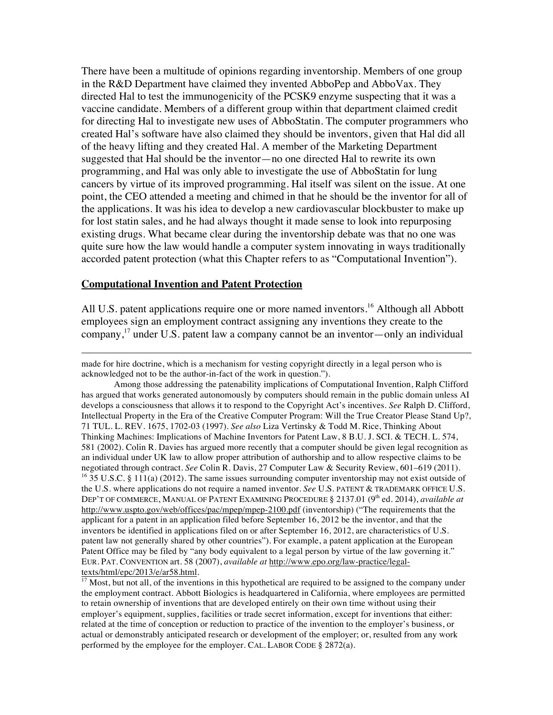There have been a multitude of opinions regarding inventorship. Members of one group in the R&D Department have claimed they invented AbboPep and AbboVax. They directed Hal to test the immunogenicity of the PCSK9 enzyme suspecting that it was a vaccine candidate. Members of a different group within that department claimed credit for directing Hal to investigate new uses of AbboStatin. The computer programmers who created Hal's software have also claimed they should be inventors, given that Hal did all of the heavy lifting and they created Hal. A member of the Marketing Department suggested that Hal should be the inventor—no one directed Hal to rewrite its own programming, and Hal was only able to investigate the use of AbboStatin for lung cancers by virtue of its improved programming. Hal itself was silent on the issue. At one point, the CEO attended a meeting and chimed in that he should be the inventor for all of the applications. It was his idea to develop a new cardiovascular blockbuster to make up for lost statin sales, and he had always thought it made sense to look into repurposing existing drugs. What became clear during the inventorship debate was that no one was quite sure how the law would handle a computer system innovating in ways traditionally accorded patent protection (what this Chapter refers to as "Computational Invention").

#### **Computational Invention and Patent Protection**

All U.S. patent applications require one or more named inventors.<sup>16</sup> Although all Abbott employees sign an employment contract assigning any inventions they create to the company, <sup>17</sup> under U.S. patent law a company cannot be an inventor—only an individual

!!!!!!!!!!!!!!!!!!!!!!!!!!!!!!!!!!!!!!!!!!!!!!!!!!!!!!!!!!!!!!!!!!!!!!!!!!!!!!!!!!!!!!!!!!!!!!!!!!!!!!!!!!!!!!!!!!!!!!!!!!!!!!!!!!!!!!!!!!!!!!!!!!!!!!!!!!!!!!!!!!!!

made for hire doctrine, which is a mechanism for vesting copyright directly in a legal person who is acknowledged not to be the author-in-fact of the work in question.").

Among those addressing the patenability implications of Computational Invention, Ralph Clifford has argued that works generated autonomously by computers should remain in the public domain unless AI develops a consciousness that allows it to respond to the Copyright Act's incentives. *See* Ralph D. Clifford, Intellectual Property in the Era of the Creative Computer Program: Will the True Creator Please Stand Up?, 71 TUL. L. REV. 1675, 1702-03 (1997). *See also* Liza Vertinsky & Todd M. Rice, Thinking About Thinking Machines: Implications of Machine Inventors for Patent Law, 8 B.U. J. SCI. & TECH. L. 574, 581 (2002). Colin R. Davies has argued more recently that a computer should be given legal recognition as an individual under UK law to allow proper attribution of authorship and to allow respective claims to be negotiated through contract. *See* Colin R. Davis, 27 Computer Law & Security Review, 601–619 (2011). <sup>16</sup> 35 U.S.C. § 111(a) (2012). The same issues surrounding computer inventorship may not exist outside of the U.S. where applications do not require a named inventor. *See* U.S. PATENT & TRADEMARK OFFICE U.S. DEP'T OF COMMERCE, MANUAL OF PATENT EXAMINING PROCEDURE § 2137.01 (9<sup>th</sup> ed. 2014), *available at* http://www.uspto.gov/web/offices/pac/mpep/mpep-2100.pdf (inventorship) ("The requirements that the applicant for a patent in an application filed before September 16, 2012 be the inventor, and that the inventors be identified in applications filed on or after September 16, 2012, are characteristics of U.S. patent law not generally shared by other countries"). For example, a patent application at the European Patent Office may be filed by "any body equivalent to a legal person by virtue of the law governing it." EUR. PAT. CONVENTION art. 58 (2007), *available at* http://www.epo.org/law-practice/legal-

<sup>&</sup>lt;sup>17</sup> Most, but not all, of the inventions in this hypothetical are required to be assigned to the company under the employment contract. Abbott Biologics is headquartered in California, where employees are permitted to retain ownership of inventions that are developed entirely on their own time without using their employer's equipment, supplies, facilities or trade secret information, except for inventions that either: related at the time of conception or reduction to practice of the invention to the employer's business, or actual or demonstrably anticipated research or development of the employer; or, resulted from any work performed by the employee for the employer. CAL. LABOR CODE § 2872(a).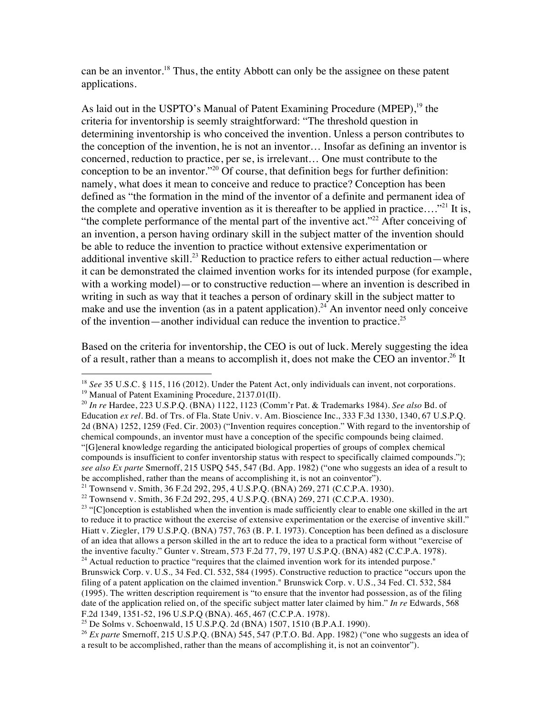can be an inventor.<sup>18</sup> Thus, the entity Abbott can only be the assignee on these patent applications.

As laid out in the USPTO's Manual of Patent Examining Procedure (MPEP),<sup>19</sup> the criteria for inventorship is seemly straightforward: "The threshold question in determining inventorship is who conceived the invention. Unless a person contributes to the conception of the invention, he is not an inventor… Insofar as defining an inventor is concerned, reduction to practice, per se, is irrelevant… One must contribute to the conception to be an inventor."<sup>20</sup> Of course, that definition begs for further definition: namely, what does it mean to conceive and reduce to practice? Conception has been defined as "the formation in the mind of the inventor of a definite and permanent idea of the complete and operative invention as it is thereafter to be applied in practice...."<sup>21</sup> It is, "the complete performance of the mental part of the inventive act."<sup>22</sup> After conceiving of an invention, a person having ordinary skill in the subject matter of the invention should be able to reduce the invention to practice without extensive experimentation or additional inventive skill.<sup>23</sup> Reduction to practice refers to either actual reduction—where it can be demonstrated the claimed invention works for its intended purpose (for example, with a working model)—or to constructive reduction—where an invention is described in writing in such as way that it teaches a person of ordinary skill in the subject matter to make and use the invention (as in a patent application).<sup>24</sup> An inventor need only conceive of the invention—another individual can reduce the invention to practice.<sup>25</sup>

Based on the criteria for inventorship, the CEO is out of luck. Merely suggesting the idea of a result, rather than a means to accomplish it, does not make the CEO an inventor.<sup>26</sup> It

<sup>19</sup> Manual of Patent Examining Procedure, 2137.01(II).

!!!!!!!!!!!!!!!!!!!!!!!!!!!!!!!!!!!!!!!!!!!!!!!!!!!!!!!

F.2d 1349, 1351-52, 196 U.S.P.Q (BNA). 465, 467 (C.C.P.A. 1978).

<sup>&</sup>lt;sup>18</sup> *See* 35 U.S.C. § 115, 116 (2012). Under the Patent Act, only individuals can invent, not corporations.

<sup>20</sup> *In re* Hardee, 223 U.S.P.Q. (BNA) 1122, 1123 (Comm'r Pat. & Trademarks 1984). *See also* Bd. of Education *ex rel*. Bd. of Trs. of Fla. State Univ. v. Am. Bioscience Inc., 333 F.3d 1330, 1340, 67 U.S.P.Q. 2d (BNA) 1252, 1259 (Fed. Cir. 2003) ("Invention requires conception." With regard to the inventorship of chemical compounds, an inventor must have a conception of the specific compounds being claimed. "[G]eneral knowledge regarding the anticipated biological properties of groups of complex chemical compounds is insufficient to confer inventorship status with respect to specifically claimed compounds."); *see also Ex parte* Smernoff, 215 USPQ 545, 547 (Bd. App. 1982) ("one who suggests an idea of a result to be accomplished, rather than the means of accomplishing it, is not an coinventor").

<sup>&</sup>lt;sup>21</sup> Townsend v. Smith, 36 F.2d 292, 295, 4 U.S.P.Q. (BNA) 269, 271 (C.C.P.A. 1930).

<sup>&</sup>lt;sup>22</sup> Townsend v. Smith, 36 F.2d 292, 295, 4 U.S.P.Q. (BNA) 269, 271 (C.C.P.A. 1930).

<sup>&</sup>lt;sup>23</sup> "[Clonception is established when the invention is made sufficiently clear to enable one skilled in the art to reduce it to practice without the exercise of extensive experimentation or the exercise of inventive skill." Hiatt v. Ziegler, 179 U.S.P.Q. (BNA) 757, 763 (B. P. I. 1973). Conception has been defined as a disclosure of an idea that allows a person skilled in the art to reduce the idea to a practical form without "exercise of the inventive faculty." Gunter v. Stream, 573 F.2d 77, 79, 197 U.S.P.Q. (BNA) 482 (C.C.P.A. 1978).  $14$  Actual reduction to practice "requires that the claimed invention work for its intended purpose." Brunswick Corp. v. U.S*.,* 34 Fed. Cl. 532, 584 (1995). Constructive reduction to practice "occurs upon the filing of a patent application on the claimed invention." Brunswick Corp. v. U.S., 34 Fed. Cl. 532, 584 (1995). The written description requirement is "to ensure that the inventor had possession, as of the filing date of the application relied on, of the specific subject matter later claimed by him." *In re* Edwards, 568

<sup>&</sup>lt;sup>25</sup> De Solms v. Schoenwald, 15 U.S.P.O. 2d (BNA) 1507, 1510 (B.P.A.I. 1990).

<sup>26</sup> *Ex parte* Smernoff, 215 U.S.P.Q. (BNA) 545, 547 (P.T.O. Bd. App. 1982) ("one who suggests an idea of a result to be accomplished, rather than the means of accomplishing it, is not an coinventor").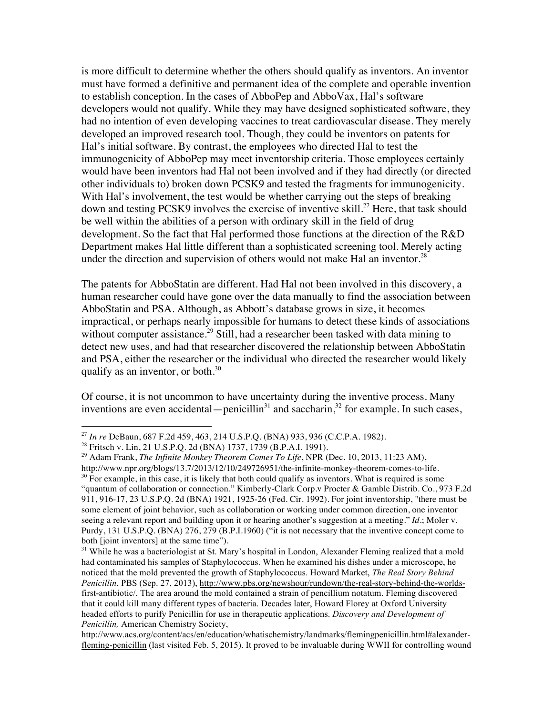is more difficult to determine whether the others should qualify as inventors. An inventor must have formed a definitive and permanent idea of the complete and operable invention to establish conception. In the cases of AbboPep and AbboVax, Hal's software developers would not qualify. While they may have designed sophisticated software, they had no intention of even developing vaccines to treat cardiovascular disease. They merely developed an improved research tool. Though, they could be inventors on patents for Hal's initial software. By contrast, the employees who directed Hal to test the immunogenicity of AbboPep may meet inventorship criteria. Those employees certainly would have been inventors had Hal not been involved and if they had directly (or directed other individuals to) broken down PCSK9 and tested the fragments for immunogenicity. With Hal's involvement, the test would be whether carrying out the steps of breaking down and testing PCSK9 involves the exercise of inventive skill.<sup>27</sup> Here, that task should be well within the abilities of a person with ordinary skill in the field of drug development. So the fact that Hal performed those functions at the direction of the R&D Department makes Hal little different than a sophisticated screening tool. Merely acting under the direction and supervision of others would not make Hal an inventor.<sup>28</sup>

The patents for AbboStatin are different. Had Hal not been involved in this discovery, a human researcher could have gone over the data manually to find the association between AbboStatin and PSA. Although, as Abbott's database grows in size, it becomes impractical, or perhaps nearly impossible for humans to detect these kinds of associations without computer assistance.<sup>29</sup> Still, had a researcher been tasked with data mining to detect new uses, and had that researcher discovered the relationship between AbboStatin and PSA, either the researcher or the individual who directed the researcher would likely qualify as an inventor, or both. $30<sup>30</sup>$ 

Of course, it is not uncommon to have uncertainty during the inventive process. Many inventions are even accidental—penicillin<sup>31</sup> and saccharin,<sup>32</sup> for example. In such cases,

!!!!!!!!!!!!!!!!!!!!!!!!!!!!!!!!!!!!!!!!!!!!!!!!!!!!!!!

<sup>&</sup>lt;sup>27</sup> *In re* DeBaun, 687 F.2d 459, 463, 214 U.S.P.Q. (BNA) 933, 936 (C.C.P.A. 1982).<br><sup>28</sup> Fritsch v. Lin, 21 U.S.P.Q. 2d (BNA) 1737, 1739 (B.P.A.I. 1991).

<sup>29</sup> Adam Frank, *The Infinite Monkey Theorem Comes To Life*, NPR (Dec. 10, 2013, 11:23 AM),

http://www.npr.org/blogs/13.7/2013/12/10/249726951/the-infinite-monkey-theorem-comes-to-life.

 $30$  For example, in this case, it is likely that both could qualify as inventors. What is required is some "quantum of collaboration or connection." Kimberly-Clark Corp.v Procter & Gamble Distrib. Co*.*, 973 F.2d 911, 916-17, 23 U.S.P.Q. 2d (BNA) 1921, 1925-26 (Fed. Cir. 1992). For joint inventorship, "there must be some element of joint behavior, such as collaboration or working under common direction, one inventor seeing a relevant report and building upon it or hearing another's suggestion at a meeting." *Id.*; Moler v. Purdy, 131 U.S.P.Q. (BNA) 276, 279 (B.P.I.1960) ("it is not necessary that the inventive concept come to both [joint inventors] at the same time").

<sup>&</sup>lt;sup>31</sup> While he was a bacteriologist at St. Mary's hospital in London, Alexander Fleming realized that a mold had contaminated his samples of Staphylococcus. When he examined his dishes under a microscope, he noticed that the mold prevented the growth of Staphylococcus. Howard Market, *The Real Story Behind Penicillin*, PBS (Sep. 27, 2013), http://www.pbs.org/newshour/rundown/the-real-story-behind-the-worldsfirst-antibiotic/. The area around the mold contained a strain of pencillium notatum. Fleming discovered that it could kill many different types of bacteria. Decades later, Howard Florey at Oxford University headed efforts to purify Penicillin for use in therapeutic applications. *Discovery and Development of Penicillin,* American Chemistry Society,

http://www.acs.org/content/acs/en/education/whatischemistry/landmarks/flemingpenicillin.html#alexanderfleming-penicillin (last visited Feb. 5, 2015). It proved to be invaluable during WWII for controlling wound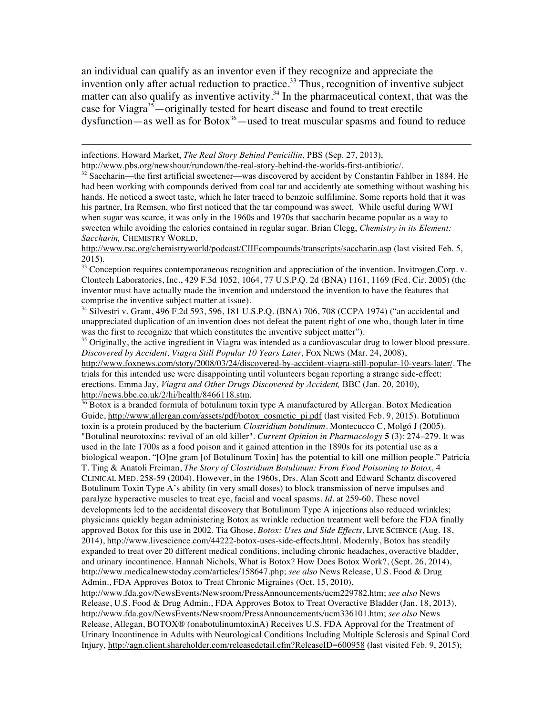an individual can qualify as an inventor even if they recognize and appreciate the invention only after actual reduction to practice.<sup>33</sup> Thus, recognition of inventive subject matter can also qualify as inventive activity.<sup>34</sup> In the pharmaceutical context, that was the case for Viagra<sup>35</sup>—originally tested for heart disease and found to treat erectile  $dysfunction - as well as for Botox<sup>36</sup> - used to treat muscular spasms and found to reduce$ 

!!!!!!!!!!!!!!!!!!!!!!!!!!!!!!!!!!!!!!!!!!!!!!!!!!!!!!!!!!!!!!!!!!!!!!!!!!!!!!!!!!!!!!!!!!!!!!!!!!!!!!!!!!!!!!!!!!!!!!!!!!!!!!!!!!!!!!!!!!!!!!!!!!!!!!!!!!!!!!!!!!!!

infections. Howard Market, *The Real Story Behind Penicillin*, PBS (Sep. 27, 2013), http://www.pbs.org/newshour/rundown/the-real-story-behind-the-worlds-first-antibiotic/.

<sup>32</sup> Saccharin—the first artificial sweetener—was discovered by accident by Constantin Fahlber in 1884. He had been working with compounds derived from coal tar and accidently ate something without washing his hands. He noticed a sweet taste, which he later traced to benzoic sulfilimine. Some reports hold that it was his partner, Ira Remsen, who first noticed that the tar compound was sweet. While useful during WWI when sugar was scarce, it was only in the 1960s and 1970s that saccharin became popular as a way to sweeten while avoiding the calories contained in regular sugar. Brian Clegg, *Chemistry in its Element: Saccharin,* CHEMISTRY WORLD,

http://www.rsc.org/chemistryworld/podcast/CIIEcompounds/transcripts/saccharin.asp (last visited Feb. 5, 2015).

<sup>33</sup> Conception requires contemporaneous recognition and appreciation of the invention. Invitrogen, Corp. v. Clontech Laboratories, Inc*.*, 429 F.3d 1052, 1064, 77 U.S.P.Q. 2d (BNA) 1161, 1169 (Fed. Cir. 2005) (the inventor must have actually made the invention and understood the invention to have the features that comprise the inventive subject matter at issue).

<sup>34</sup> Silvestri v. Grant, 496 F.2d 593, 596, 181 U.S.P.Q. (BNA) 706, 708 (CCPA 1974) ("an accidental and unappreciated duplication of an invention does not defeat the patent right of one who, though later in time was the first to recognize that which constitutes the inventive subject matter").

 $35$  Originally, the active ingredient in Viagra was intended as a cardiovascular drug to lower blood pressure. *Discovered by Accident, Viagra Still Popular 10 Years Later,* FOX NEWS (Mar. 24, 2008),

http://www.foxnews.com/story/2008/03/24/discovered-by-accident-viagra-still-popular-10-years-later/. The trials for this intended use were disappointing until volunteers began reporting a strange side-effect: erections. Emma Jay, *Viagra and Other Drugs Discovered by Accident,* BBC (Jan. 20, 2010), http://news.bbc.co.uk/2/hi/health/8466118.stm.

 $36$  Botox is a branded formula of botulinum toxin type A manufactured by Allergan. Botox Medication Guide, http://www.allergan.com/assets/pdf/botox\_cosmetic\_pi.pdf (last visited Feb. 9, 2015). Botulinum toxin is a protein produced by the bacterium *Clostridium botulinum*. Montecucco C, Molgó J (2005). "Botulinal neurotoxins: revival of an old killer". *Current Opinion in Pharmacology* **5** (3): 274–279. It was used in the late 1700s as a food poison and it gained attention in the 1890s for its potential use as a biological weapon. "[O]ne gram [of Botulinum Toxin] has the potential to kill one million people." Patricia T. Ting & Anatoli Freiman, *The Story of Clostridium Botulinum: From Food Poisoning to Botox,* 4 CLINICAL MED. 258-59 (2004). However, in the 1960s, Drs. Alan Scott and Edward Schantz discovered Botulinum Toxin Type A's ability (in very small doses) to block transmission of nerve impulses and paralyze hyperactive muscles to treat eye, facial and vocal spasms. *Id*. at 259-60. These novel developments led to the accidental discovery that Botulinum Type A injections also reduced wrinkles; physicians quickly began administering Botox as wrinkle reduction treatment well before the FDA finally approved Botox for this use in 2002. Tia Ghose, *Botox: Uses and Side Effects*, LIVE SCIENCE (Aug. 18, 2014), http://www.livescience.com/44222-botox-uses-side-effects.html. Modernly, Botox has steadily expanded to treat over 20 different medical conditions, including chronic headaches, overactive bladder, and urinary incontinence. Hannah Nichols, What is Botox? How Does Botox Work?, (Sept. 26, 2014), http://www.medicalnewstoday.com/articles/158647.php; *see also* News Release, U.S. Food & Drug Admin., FDA Approves Botox to Treat Chronic Migraines (Oct. 15, 2010),

http://www.fda.gov/NewsEvents/Newsroom/PressAnnouncements/ucm229782.htm; *see also* News Release, U.S. Food & Drug Admin., FDA Approves Botox to Treat Overactive Bladder (Jan. 18, 2013), http://www.fda.gov/NewsEvents/Newsroom/PressAnnouncements/ucm336101.htm; *see also* News Release, Allegan, BOTOX® (onabotulinumtoxinA) Receives U.S. FDA Approval for the Treatment of Urinary Incontinence in Adults with Neurological Conditions Including Multiple Sclerosis and Spinal Cord Injury, http://agn.client.shareholder.com/releasedetail.cfm?ReleaseID=600958 (last visited Feb. 9, 2015);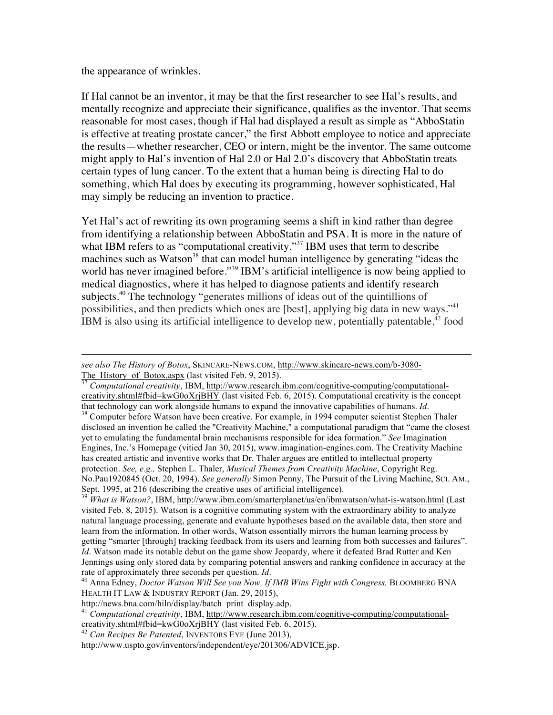the appearance of wrinkles.

If Hal cannot be an inventor, it may be that the first researcher to see Hal's results, and mentally recognize and appreciate their significance, qualifies as the inventor. That seems reasonable for most cases, though if Hal had displayed a result as simple as "AbboStatin is effective at treating prostate cancer," the first Abbott employee to notice and appreciate the results—whether researcher, CEO or intern, might be the inventor. The same outcome might apply to Hal's invention of Hal 2.0 or Hal 2.0's discovery that AbboStatin treats certain types of lung cancer. To the extent that a human being is directing Hal to do something, which Hal does by executing its programming, however sophisticated, Hal may simply be reducing an invention to practice.

Yet Hal's act of rewriting its own programing seems a shift in kind rather than degree from identifying a relationship between AbboStatin and PSA. It is more in the nature of what IBM refers to as "computational creativity."<sup>37</sup> IBM uses that term to describe machines such as Watson<sup>38</sup> that can model human intelligence by generating "ideas the world has never imagined before."<sup>39</sup> IBM's artificial intelligence is now being applied to medical diagnostics, where it has helped to diagnose patients and identify research subjects.<sup>40</sup> The technology "generates millions of ideas out of the quintillions of possibilities, and then predicts which ones are [best], applying big data in new ways."41 IBM is also using its artificial intelligence to develop new, potentially patentable,  $42$  food

The\_History\_of\_Botox.aspx (last visited Feb. 9, 2015). 37 *Computational creativity*, IBM, http://www.research.ibm.com/cognitive-computing/computationalcreativity.shtml#fbid=kwG0oXrjBHY (last visited Feb. 6, 2015). Computational creativity is the concept that technology can work alongside humans to expand the innovative capabilities of humans. *Id*.<br><sup>38</sup> Computer before Watson have been creative. For example, in 1994 computer scientist Stephen Thaler disclosed an invention he called the "Creativity Machine," a computational paradigm that "came the closest yet to emulating the fundamental brain mechanisms responsible for idea formation." *See* Imagination Engines, Inc.'s Homepage (vitied Jan 30, 2015), www.imagination-engines.com. The Creativity Machine has created artistic and inventive works that Dr. Thaler argues are entitled to intellectual property protection. *See, e.g.,* Stephen L. Thaler, *Musical Themes from Creativity Machine*, Copyright Reg. No.Pau1920845 (Oct. 20, 1994). *See generally* Simon Penny, The Pursuit of the Living Machine, SCI. AM., Sept. 1995, at 216 (describing the creative uses of artificial intelligence).<br><sup>39</sup> *What is Watson?*, IBM, http://www.ibm.com/smarterplanet/us/en/ibmwatson/what-is-watson.html (Last

!!!!!!!!!!!!!!!!!!!!!!!!!!!!!!!!!!!!!!!!!!!!!!!!!!!!!!!!!!!!!!!!!!!!!!!!!!!!!!!!!!!!!!!!!!!!!!!!!!!!!!!!!!!!!!!!!!!!!!!!!!!!!!!!!!!!!!!!!!!!!!!!!!!!!!!!!!!!!!!!!!!!

visited Feb. 8, 2015). Watson is a cognitive commuting system with the extraordinary ability to analyze natural language processing, generate and evaluate hypotheses based on the available data, then store and learn from the information. In other words, Watson essentially mirrors the human learning process by getting "smarter [through] tracking feedback from its users and learning from both successes and failures". *Id*. Watson made its notable debut on the game show Jeopardy, where it defeated Brad Rutter and Ken Jennings using only stored data by comparing potential answers and ranking confidence in accuracy at the rate of approximately three seconds per question. *Id*. 40 Anna Edney, *Doctor Watson Will See you Now, If IMB Wins Fight with Congress,* BLOOMBERG BNA

*see also The History of Botox*, SKINCARE-NEWS.COM, http://www.skincare-news.com/b-3080-

HEALTH IT LAW & INDUSTRY REPORT (Jan. 29, 2015),

http://news.bna.com/hiln/display/batch\_print\_display.adp. 41 *Computational creativity*, IBM, http://www.research.ibm.com/cognitive-computing/computationalcreativity.shtml#fbid=kwG0oXrjBHY (last visited Feb. 6, 2015). <sup>42</sup> *Can Recipes Be Patented*, INVENTORS EYE (June 2013),

http://www.uspto.gov/inventors/independent/eye/201306/ADVICE.jsp.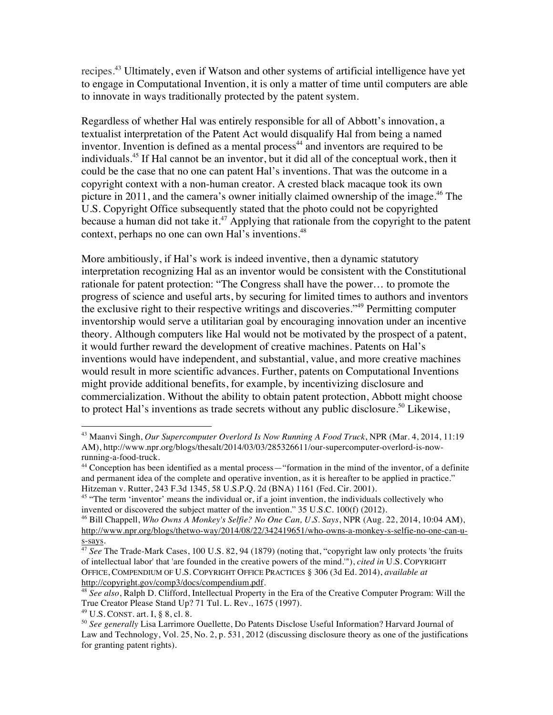recipes.<sup>43</sup> Ultimately, even if Watson and other systems of artificial intelligence have yet to engage in Computational Invention, it is only a matter of time until computers are able to innovate in ways traditionally protected by the patent system.

Regardless of whether Hal was entirely responsible for all of Abbott's innovation, a textualist interpretation of the Patent Act would disqualify Hal from being a named inventor. Invention is defined as a mental process<sup> $44$ </sup> and inventors are required to be individuals.<sup>45</sup> If Hal cannot be an inventor, but it did all of the conceptual work, then it could be the case that no one can patent Hal's inventions. That was the outcome in a copyright context with a non-human creator. A crested black macaque took its own picture in 2011, and the camera's owner initially claimed ownership of the image.<sup>46</sup> The U.S. Copyright Office subsequently stated that the photo could not be copyrighted because a human did not take it.<sup>47</sup> Applying that rationale from the copyright to the patent context, perhaps no one can own Hal's inventions.<sup>48</sup>

More ambitiously, if Hal's work is indeed inventive, then a dynamic statutory interpretation recognizing Hal as an inventor would be consistent with the Constitutional rationale for patent protection: "The Congress shall have the power… to promote the progress of science and useful arts, by securing for limited times to authors and inventors the exclusive right to their respective writings and discoveries."49 Permitting computer inventorship would serve a utilitarian goal by encouraging innovation under an incentive theory. Although computers like Hal would not be motivated by the prospect of a patent, it would further reward the development of creative machines. Patents on Hal's inventions would have independent, and substantial, value, and more creative machines would result in more scientific advances. Further, patents on Computational Inventions might provide additional benefits, for example, by incentivizing disclosure and commercialization. Without the ability to obtain patent protection, Abbott might choose to protect Hal's inventions as trade secrets without any public disclosure.<sup>50</sup> Likewise,

<sup>!!!!!!!!!!!!!!!!!!!!!!!!!!!!!!!!!!!!!!!!!!!!!!!!!!!!!!!</sup> <sup>43</sup> Maanvi Singh, *Our Supercomputer Overlord Is Now Running A Food Truck*, NPR (Mar. 4, 2014, 11:19 AM), http://www.npr.org/blogs/thesalt/2014/03/03/285326611/our-supercomputer-overlord-is-nowrunning-a-food-truck.

<sup>44</sup> Conception has been identified as a mental process—"formation in the mind of the inventor, of a definite and permanent idea of the complete and operative invention, as it is hereafter to be applied in practice." Hitzeman v. Rutter, 243 F.3d 1345, 58 U.S.P.Q. 2d (BNA) 1161 (Fed. Cir. 2001).

<sup>&</sup>lt;sup>45</sup> "The term 'inventor' means the individual or, if a joint invention, the individuals collectively who invented or discovered the subject matter of the invention." 35 U.S.C. 100(f) (2012).

<sup>46</sup> Bill Chappell, *Who Owns A Monkey's Selfie? No One Can, U.S. Says*, NPR (Aug. 22, 2014, 10:04 AM), http://www.npr.org/blogs/thetwo-way/2014/08/22/342419651/who-owns-a-monkey-s-selfie-no-one-can-us-says.

<sup>47</sup> *See* The Trade-Mark Cases, 100 U.S. 82, 94 (1879) (noting that, "copyright law only protects 'the fruits of intellectual labor' that 'are founded in the creative powers of the mind.'"), *cited in* U.S. COPYRIGHT OFFICE, COMPENDIUM OF U.S. COPYRIGHT OFFICE PRACTICES § 306 (3d Ed. 2014), *available at* http://copyright.gov/comp3/docs/compendium.pdf. 48 *See also*, Ralph D. Clifford, Intellectual Property in the Era of the Creative Computer Program: Will the

True Creator Please Stand Up? 71 Tul. L. Rev., 1675 (1997).

<sup>49</sup> U.S. CONST. art. I, § 8, cl. 8.

<sup>50</sup> *See generally* Lisa Larrimore Ouellette, Do Patents Disclose Useful Information? Harvard Journal of Law and Technology, Vol. 25, No. 2, p. 531, 2012 (discussing disclosure theory as one of the justifications for granting patent rights).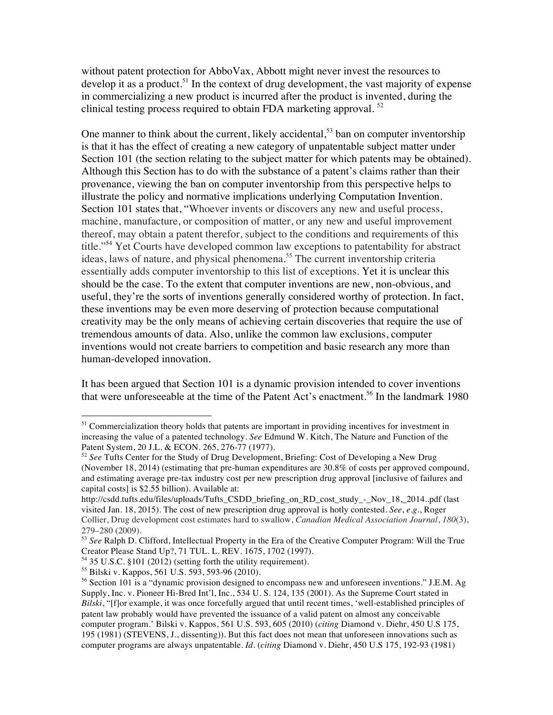without patent protection for AbboVax, Abbott might never invest the resources to develop it as a product.<sup>51</sup> In the context of drug development, the vast majority of expense in commercializing a new product is incurred after the product is invented, during the clinical testing process required to obtain FDA marketing approval. <sup>52</sup>

One manner to think about the current, likely accidental,<sup>53</sup> ban on computer inventorship is that it has the effect of creating a new category of unpatentable subject matter under Section 101 (the section relating to the subject matter for which patents may be obtained). Although this Section has to do with the substance of a patent's claims rather than their provenance, viewing the ban on computer inventorship from this perspective helps to illustrate the policy and normative implications underlying Computation Invention. Section 101 states that, "Whoever invents or discovers any new and useful process, machine, manufacture, or composition of matter, or any new and useful improvement thereof, may obtain a patent therefor, subject to the conditions and requirements of this title."54 Yet Courts have developed common law exceptions to patentability for abstract ideas, laws of nature, and physical phenomena.<sup>55</sup> The current inventorship criteria essentially adds computer inventorship to this list of exceptions. Yet it is unclear this should be the case. To the extent that computer inventions are new, non-obvious, and useful, they're the sorts of inventions generally considered worthy of protection. In fact, these inventions may be even more deserving of protection because computational creativity may be the only means of achieving certain discoveries that require the use of tremendous amounts of data. Also, unlike the common law exclusions, computer inventions would not create barriers to competition and basic research any more than human-developed innovation.

It has been argued that Section 101 is a dynamic provision intended to cover inventions that were unforeseeable at the time of the Patent Act's enactment.<sup>56</sup> In the landmark 1980

!!!!!!!!!!!!!!!!!!!!!!!!!!!!!!!!!!!!!!!!!!!!!!!!!!!!!!!

<sup>&</sup>lt;sup>51</sup> Commercialization theory holds that patents are important in providing incentives for investment in increasing the value of a patented technology. *See* Edmund W. Kitch, The Nature and Function of the Patent System, 20 J.L. & ECON. 265, 276-77 (1977).

<sup>52</sup> *See* Tufts Center for the Study of Drug Development, Briefing: Cost of Developing a New Drug (November 18, 2014) (estimating that pre-human expenditures are 30.8% of costs per approved compound, and estimating average pre-tax industry cost per new prescription drug approval [inclusive of failures and capital costs] is \$2.55 billion). Available at:

http://csdd.tufts.edu/files/uploads/Tufts\_CSDD\_briefing\_on\_RD\_cost\_study\_-\_Nov\_18,\_2014..pdf (last visited Jan. 18, 2015). The cost of new prescription drug approval is hotly contested. *See*, *e.g.*, Roger Collier, Drug development cost estimates hard to swallow, *Canadian Medical Association Journal*, *180*(3), 279–280 (2009).

<sup>53</sup> *See* Ralph D. Clifford, Intellectual Property in the Era of the Creative Computer Program: Will the True Creator Please Stand Up?, 71 TUL. L. REV. 1675, 1702 (1997).

 $54$  35 U.S.C. §101 (2012) (setting forth the utility requirement).

<sup>55</sup> Bilski v. Kappos, 561 U.S. 593, 593-96 (2010).

 $56$  Section 101 is a "dynamic provision designed to encompass new and unforeseen inventions." J.E.M. Ag Supply, Inc. v. Pioneer Hi-Bred Int'l, Inc., 534 U. S. 124, 135 (2001). As the Supreme Court stated in *Bilski*, "[f]or example, it was once forcefully argued that until recent times, 'well-established principles of patent law probably would have prevented the issuance of a valid patent on almost any conceivable computer program.' Bilski v. Kappos, 561 U.S. 593, 605 (2010) (*citing* Diamond v. Diehr, 450 U.S 175, 195 (1981) (STEVENS, J., dissenting)). But this fact does not mean that unforeseen innovations such as computer programs are always unpatentable. *Id.* (*citing* Diamond v. Diehr, 450 U.S 175, 192-93 (1981)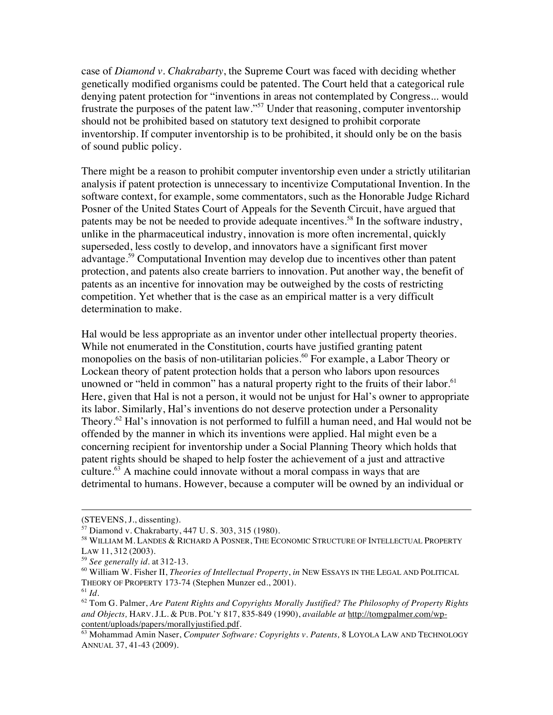case of *Diamond v. Chakrabarty*, the Supreme Court was faced with deciding whether genetically modified organisms could be patented. The Court held that a categorical rule denying patent protection for "inventions in areas not contemplated by Congress... would frustrate the purposes of the patent law."57 Under that reasoning, computer inventorship should not be prohibited based on statutory text designed to prohibit corporate inventorship. If computer inventorship is to be prohibited, it should only be on the basis of sound public policy.

There might be a reason to prohibit computer inventorship even under a strictly utilitarian analysis if patent protection is unnecessary to incentivize Computational Invention. In the software context, for example, some commentators, such as the Honorable Judge Richard Posner of the United States Court of Appeals for the Seventh Circuit, have argued that patents may be not be needed to provide adequate incentives.<sup>58</sup> In the software industry, unlike in the pharmaceutical industry, innovation is more often incremental, quickly superseded, less costly to develop, and innovators have a significant first mover advantage.59 Computational Invention may develop due to incentives other than patent protection, and patents also create barriers to innovation. Put another way, the benefit of patents as an incentive for innovation may be outweighed by the costs of restricting competition. Yet whether that is the case as an empirical matter is a very difficult determination to make.

Hal would be less appropriate as an inventor under other intellectual property theories. While not enumerated in the Constitution, courts have justified granting patent monopolies on the basis of non-utilitarian policies.<sup>60</sup> For example, a Labor Theory or Lockean theory of patent protection holds that a person who labors upon resources unowned or "held in common" has a natural property right to the fruits of their labor.<sup>61</sup> Here, given that Hal is not a person, it would not be unjust for Hal's owner to appropriate its labor. Similarly, Hal's inventions do not deserve protection under a Personality Theory.<sup>62</sup> Hal's innovation is not performed to fulfill a human need, and Hal would not be offended by the manner in which its inventions were applied. Hal might even be a concerning recipient for inventorship under a Social Planning Theory which holds that patent rights should be shaped to help foster the achievement of a just and attractive culture.<sup>63</sup> A machine could innovate without a moral compass in ways that are detrimental to humans. However, because a computer will be owned by an individual or

!!!!!!!!!!!!!!!!!!!!!!!!!!!!!!!!!!!!!!!!!!!!!!!!!!!!!!!!!!!!!!!!!!!!!!!!!!!!!!!!!!!!!!!!!!!!!!!!!!!!!!!!!!!!!!!!!!!!!!!!!!!!!!!!!!!!!!!!!!!!!!!!!!!!!!!!!!!!!!!!!!!!

<sup>(</sup>STEVENS, J., dissenting).<br><sup>57</sup> Diamond v. Chakrabarty, 447 U. S. 303, 315 (1980).<br><sup>58</sup> WILLIAM M. LANDES & RICHARD A POSNER, THE ECONOMIC STRUCTURE OF INTELLECTUAL PROPERTY LAW 11, 312 (2003).

<sup>59</sup> *See generally id.* at 312-13.

<sup>60</sup> William W. Fisher II, *Theories of Intellectual Property*, *in* NEW ESSAYS IN THE LEGAL AND POLITICAL THEORY OF PROPERTY 173-74 (Stephen Munzer ed., 2001). 61 *Id*.

<sup>62</sup> Tom G. Palmer, *Are Patent Rights and Copyrights Morally Justified? The Philosophy of Property Rights and Objects,* HARV. J.L. & PUB. POL'Y 817, 835-849 (1990), *available at* http://tomgpalmer.com/wpcontent/uploads/papers/morallyjustified.pdf. 63 Mohammad Amin Naser, *Computer Software: Copyrights v. Patents,* 8 LOYOLA LAW AND TECHNOLOGY

ANNUAL 37, 41-43 (2009).